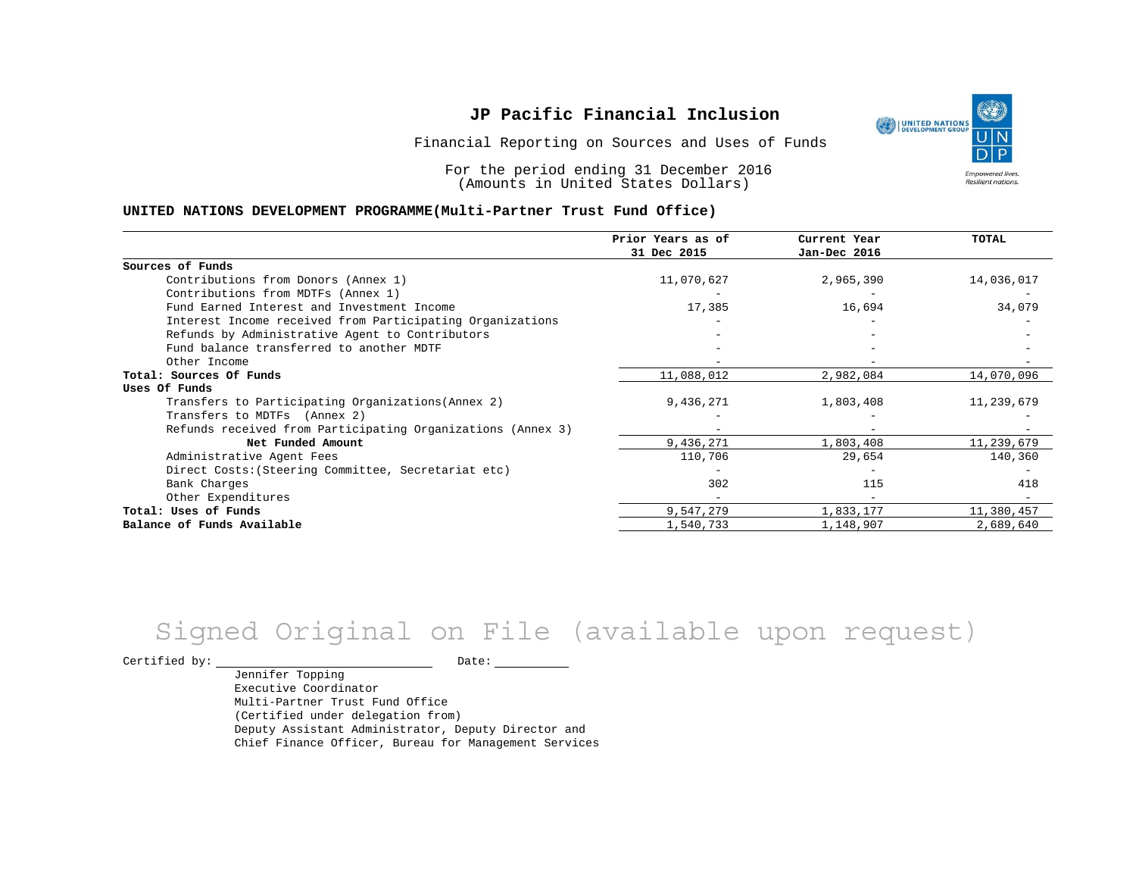Financial Reporting on Sources and Uses of Funds

For the period ending 31 December 2016 (Amounts in United States Dollars)

#### **UNITED NATIONS DEVELOPMENT PROGRAMME(Multi-Partner Trust Fund Office)**

|                                                             | Prior Years as of<br>31 Dec 2015 | Current Year<br>Jan-Dec 2016 | TOTAL      |
|-------------------------------------------------------------|----------------------------------|------------------------------|------------|
|                                                             |                                  |                              |            |
| Sources of Funds                                            |                                  |                              |            |
| Contributions from Donors (Annex 1)                         | 11,070,627                       | 2,965,390                    | 14,036,017 |
| Contributions from MDTFs (Annex 1)                          |                                  |                              |            |
| Fund Earned Interest and Investment Income                  | 17,385                           | 16,694                       | 34,079     |
| Interest Income received from Participating Organizations   |                                  |                              |            |
| Refunds by Administrative Agent to Contributors             |                                  |                              |            |
| Fund balance transferred to another MDTF                    |                                  |                              |            |
| Other Income                                                |                                  |                              |            |
| Total: Sources Of Funds                                     | 11,088,012                       | 2,982,084                    | 14,070,096 |
| Uses Of Funds                                               |                                  |                              |            |
| Transfers to Participating Organizations (Annex 2)          | 9,436,271                        | 1,803,408                    | 11,239,679 |
| Transfers to MDTFs (Annex 2)                                |                                  |                              |            |
| Refunds received from Participating Organizations (Annex 3) |                                  |                              |            |
| Net Funded Amount                                           | 9,436,271                        | 1,803,408                    | 11,239,679 |
| Administrative Agent Fees                                   | 110,706                          | 29,654                       | 140,360    |
| Direct Costs: (Steering Committee, Secretariat etc)         |                                  |                              |            |
| Bank Charges                                                | 302                              | 115                          | 418        |
| Other Expenditures                                          |                                  |                              |            |
| Total: Uses of Funds                                        | 9,547,279                        | 1,833,177                    | 11,380,457 |
| Balance of Funds Available                                  | 1,540,733                        | 1,148,907                    | 2,689,640  |

# Signed Original on File (available upon request)

Certified by: Date:

Jennifer Topping Executive Coordinator Multi-Partner Trust Fund Office (Certified under delegation from) Deputy Assistant Administrator, Deputy Director and Chief Finance Officer, Bureau for Management Services

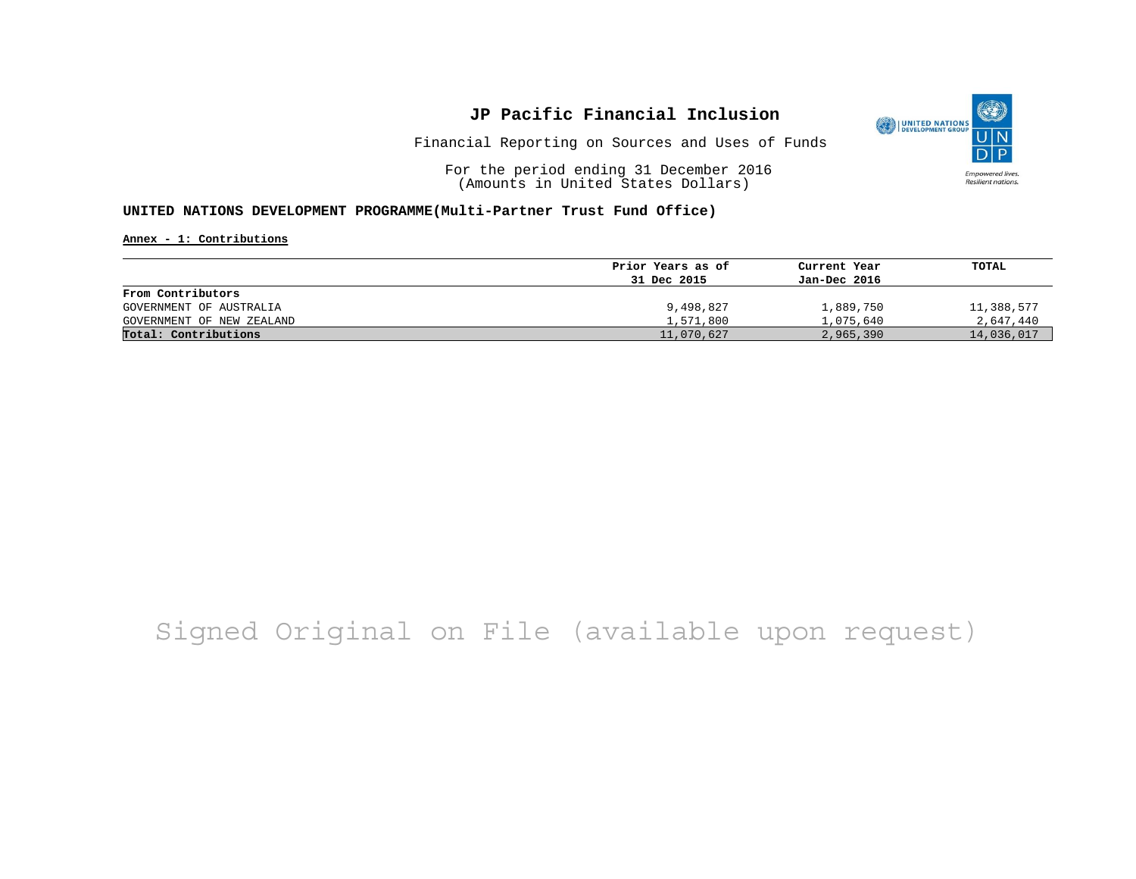

Financial Reporting on Sources and Uses of Funds

For the period ending 31 December 2016 (Amounts in United States Dollars)

#### **UNITED NATIONS DEVELOPMENT PROGRAMME(Multi-Partner Trust Fund Office)**

**Annex - 1: Contributions**

|                           | Prior Years as of | Current Year | TOTAL      |
|---------------------------|-------------------|--------------|------------|
|                           | 31 Dec 2015       | Jan-Dec 2016 |            |
| From Contributors         |                   |              |            |
| GOVERNMENT OF AUSTRALIA   | 9,498,827         | 1,889,750    | 11,388,577 |
| GOVERNMENT OF NEW ZEALAND | 1,571,800         | 1,075,640    | 2,647,440  |
| Total: Contributions      | 11,070,627        | 2,965,390    | 14,036,017 |

## Signed Original on File (available upon request)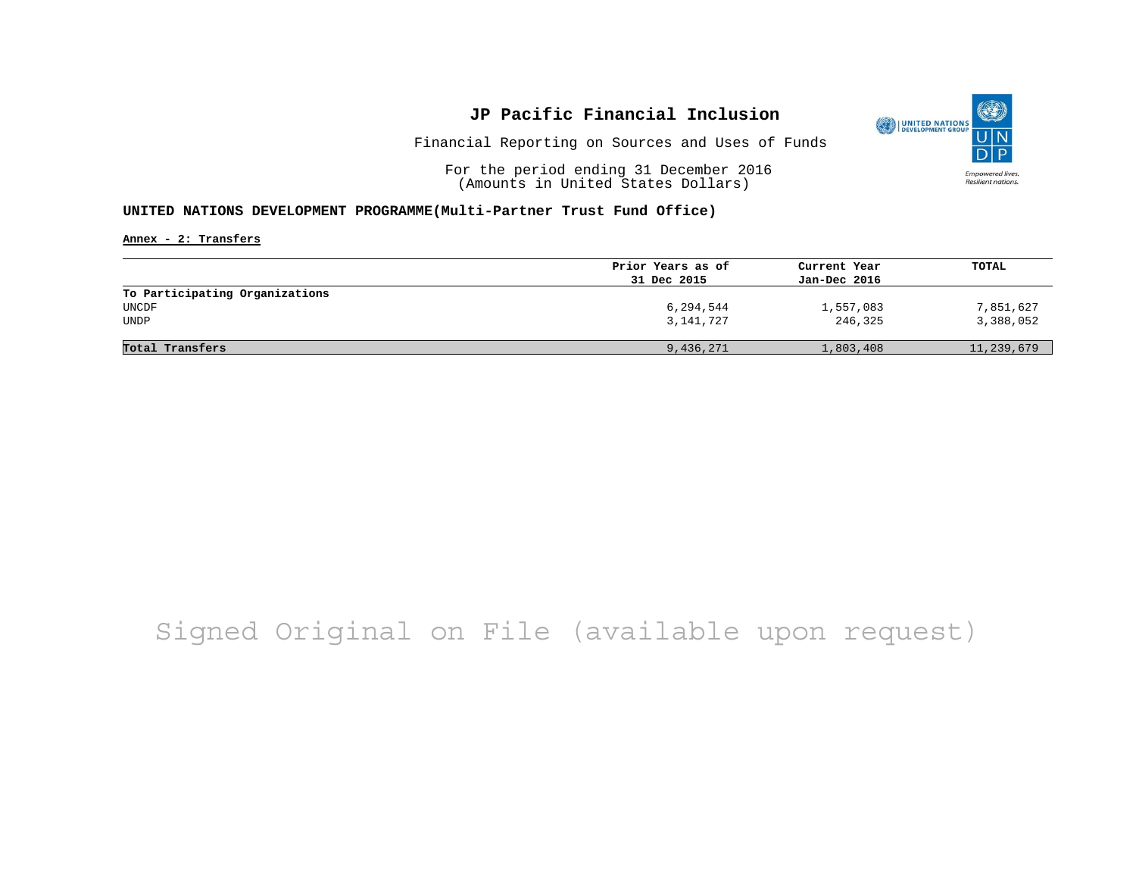

Financial Reporting on Sources and Uses of Funds

For the period ending 31 December 2016 (Amounts in United States Dollars)

#### **UNITED NATIONS DEVELOPMENT PROGRAMME(Multi-Partner Trust Fund Office)**

**Annex - 2: Transfers**

|                                | Prior Years as of | Current Year | TOTAL      |
|--------------------------------|-------------------|--------------|------------|
|                                | 31 Dec 2015       | Jan-Dec 2016 |            |
| To Participating Organizations |                   |              |            |
| UNCDF                          | 6,294,544         | 1,557,083    | 7,851,627  |
| UNDP                           | 3,141,727         | 246,325      | 3,388,052  |
|                                |                   |              |            |
| Total Transfers                | 9,436,271         | 1,803,408    | 11,239,679 |

## Signed Original on File (available upon request)